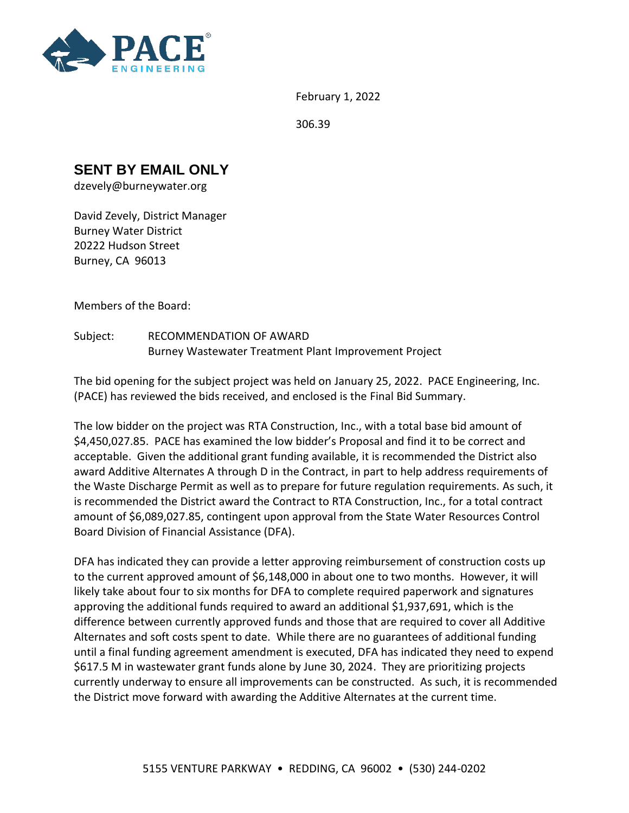

February 1, 2022

306.39

## **SENT BY EMAIL ONLY**

dzevely@burneywater.org

David Zevely, District Manager Burney Water District 20222 Hudson Street Burney, CA 96013

Members of the Board:

Subject: RECOMMENDATION OF AWARD Burney Wastewater Treatment Plant Improvement Project

The bid opening for the subject project was held on January 25, 2022. PACE Engineering, Inc. (PACE) has reviewed the bids received, and enclosed is the Final Bid Summary.

The low bidder on the project was RTA Construction, Inc., with a total base bid amount of \$4,450,027.85. PACE has examined the low bidder's Proposal and find it to be correct and acceptable. Given the additional grant funding available, it is recommended the District also award Additive Alternates A through D in the Contract, in part to help address requirements of the Waste Discharge Permit as well as to prepare for future regulation requirements. As such, it is recommended the District award the Contract to RTA Construction, Inc., for a total contract amount of \$6,089,027.85, contingent upon approval from the State Water Resources Control Board Division of Financial Assistance (DFA).

DFA has indicated they can provide a letter approving reimbursement of construction costs up to the current approved amount of \$6,148,000 in about one to two months. However, it will likely take about four to six months for DFA to complete required paperwork and signatures approving the additional funds required to award an additional \$1,937,691, which is the difference between currently approved funds and those that are required to cover all Additive Alternates and soft costs spent to date. While there are no guarantees of additional funding until a final funding agreement amendment is executed, DFA has indicated they need to expend \$617.5 M in wastewater grant funds alone by June 30, 2024. They are prioritizing projects currently underway to ensure all improvements can be constructed. As such, it is recommended the District move forward with awarding the Additive Alternates at the current time.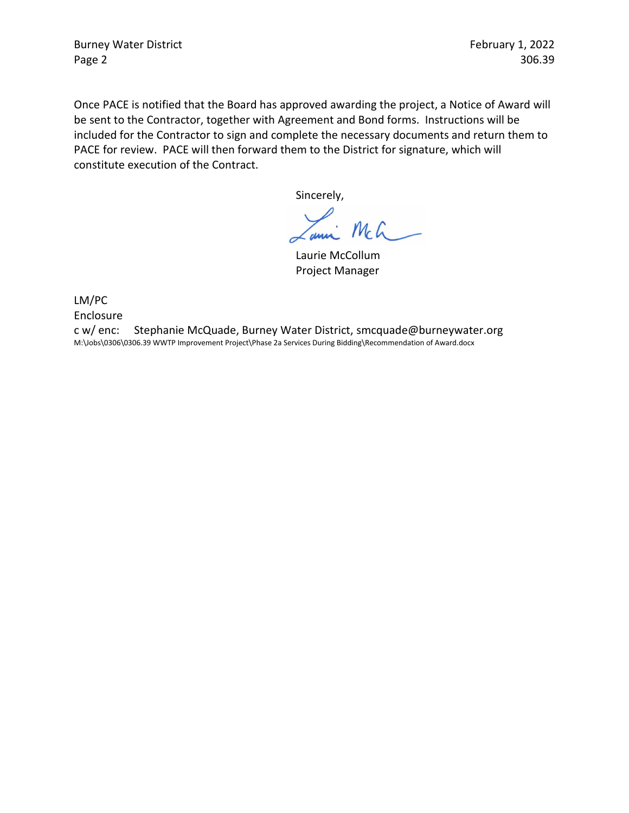Burney Water District **February 1, 2022** Page 2 306.39

Once PACE is notified that the Board has approved awarding the project, a Notice of Award will be sent to the Contractor, together with Agreement and Bond forms. Instructions will be included for the Contractor to sign and complete the necessary documents and return them to PACE for review. PACE will then forward them to the District for signature, which will constitute execution of the Contract.

Sincerely,

 $mc$ anna

Laurie McCollum Project Manager

LM/PC

Enclosure

c w/ enc: Stephanie McQuade, Burney Water District, smcquade@burneywater.org M:\Jobs\0306\0306.39 WWTP Improvement Project\Phase 2a Services During Bidding\Recommendation of Award.docx